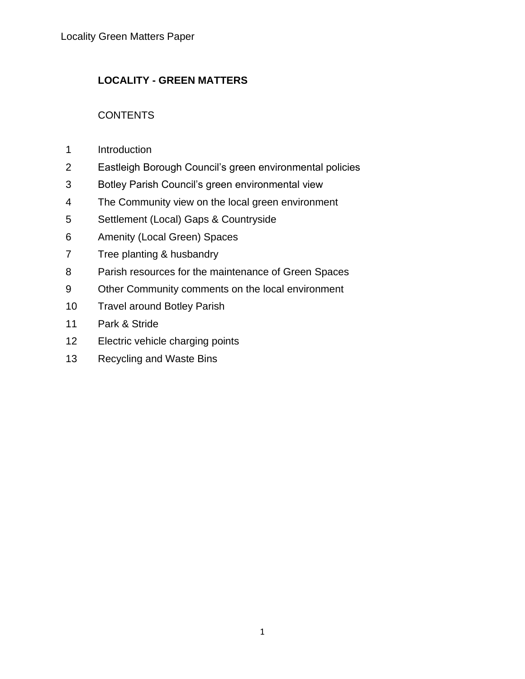# **LOCALITY - GREEN MATTERS**

# **CONTENTS**

- Introduction
- Eastleigh Borough Council's green environmental policies
- Botley Parish Council's green environmental view
- The Community view on the local green environment
- Settlement (Local) Gaps & Countryside
- Amenity (Local Green) Spaces
- Tree planting & husbandry
- Parish resources for the maintenance of Green Spaces
- Other Community comments on the local environment
- Travel around Botley Parish
- Park & Stride
- Electric vehicle charging points
- Recycling and Waste Bins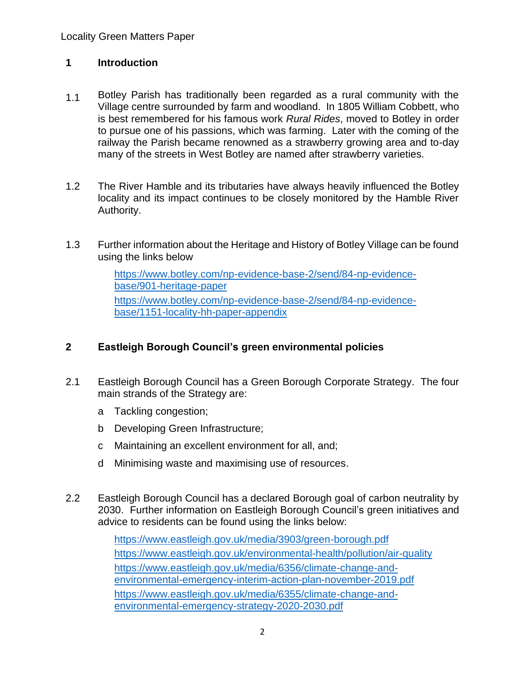#### **1 Introduction**

- 1.1 Botley Parish has traditionally been regarded as a rural community with the Village centre surrounded by farm and woodland. In 1805 William Cobbett, who is best remembered for his famous work *Rural Rides*, moved to Botley in order to pursue one of his passions, which was farming. Later with the coming of the railway the Parish became renowned as a strawberry growing area and to-day many of the streets in West Botley are named after strawberry varieties.
- 1.2 The River Hamble and its tributaries have always heavily influenced the Botley locality and its impact continues to be closely monitored by the Hamble River Authority.
- 1.3 Further information about the Heritage and History of Botley Village can be found using the links below

[https://www.botley.com/np-evidence-base-2/send/84-np-evidence](https://www.botley.com/np-evidence-base-2/send/84-np-evidence-base/901-heritage-paper)[base/901-heritage-paper](https://www.botley.com/np-evidence-base-2/send/84-np-evidence-base/901-heritage-paper) [https://www.botley.com/np-evidence-base-2/send/84-np-evidence](https://www.botley.com/np-evidence-base-2/send/84-np-evidence-base/1151-locality-hh-paper-appendix)[base/1151-locality-hh-paper-appendix](https://www.botley.com/np-evidence-base-2/send/84-np-evidence-base/1151-locality-hh-paper-appendix)

### **2 Eastleigh Borough Council's green environmental policies**

- 2.1 Eastleigh Borough Council has a Green Borough Corporate Strategy. The four main strands of the Strategy are:
	- a Tackling congestion;
	- b Developing Green Infrastructure;
	- c Maintaining an excellent environment for all, and;
	- d Minimising waste and maximising use of resources.
- 2.2 Eastleigh Borough Council has a declared Borough goal of carbon neutrality by 2030. Further information on Eastleigh Borough Council's green initiatives and advice to residents can be found using the links below:

<https://www.eastleigh.gov.uk/media/3903/green-borough.pdf> <https://www.eastleigh.gov.uk/environmental-health/pollution/air-quality> [https://www.eastleigh.gov.uk/media/6356/climate-change-and](https://www.eastleigh.gov.uk/media/6356/climate-change-and-environmental-emergency-interim-action-plan-november-2019.pdf)[environmental-emergency-interim-action-plan-november-2019.pdf](https://www.eastleigh.gov.uk/media/6356/climate-change-and-environmental-emergency-interim-action-plan-november-2019.pdf) [https://www.eastleigh.gov.uk/media/6355/climate-change-and](https://www.eastleigh.gov.uk/media/6355/climate-change-and-environmental-emergency-strategy-2020-2030.pdf)[environmental-emergency-strategy-2020-2030.pdf](https://www.eastleigh.gov.uk/media/6355/climate-change-and-environmental-emergency-strategy-2020-2030.pdf)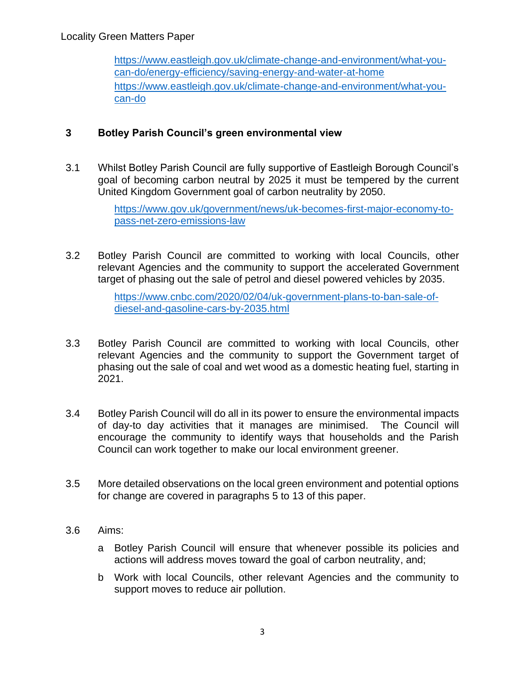[https://www.eastleigh.gov.uk/climate-change-and-environment/what-you](https://www.eastleigh.gov.uk/climate-change-and-environment/what-you-can-do/energy-efficiency/saving-energy-and-water-at-home)[can-do/energy-efficiency/saving-energy-and-water-at-home](https://www.eastleigh.gov.uk/climate-change-and-environment/what-you-can-do/energy-efficiency/saving-energy-and-water-at-home) [https://www.eastleigh.gov.uk/climate-change-and-environment/what-you](https://www.eastleigh.gov.uk/climate-change-and-environment/what-you-can-do)[can-do](https://www.eastleigh.gov.uk/climate-change-and-environment/what-you-can-do)

## **3 Botley Parish Council's green environmental view**

3.1 Whilst Botley Parish Council are fully supportive of Eastleigh Borough Council's goal of becoming carbon neutral by 2025 it must be tempered by the current United Kingdom Government goal of carbon neutrality by 2050.

> [https://www.gov.uk/government/news/uk-becomes-first-major-economy-to](https://www.gov.uk/government/news/uk-becomes-first-major-economy-to-pass-net-zero-emissions-law)[pass-net-zero-emissions-law](https://www.gov.uk/government/news/uk-becomes-first-major-economy-to-pass-net-zero-emissions-law)

3.2 Botley Parish Council are committed to working with local Councils, other relevant Agencies and the community to support the accelerated Government target of phasing out the sale of petrol and diesel powered vehicles by 2035.

> [https://www.cnbc.com/2020/02/04/uk-government-plans-to-ban-sale-of](https://www.cnbc.com/2020/02/04/uk-government-plans-to-ban-sale-of-diesel-and-gasoline-cars-by-2035.html)[diesel-and-gasoline-cars-by-2035.html](https://www.cnbc.com/2020/02/04/uk-government-plans-to-ban-sale-of-diesel-and-gasoline-cars-by-2035.html)

- 3.3 Botley Parish Council are committed to working with local Councils, other relevant Agencies and the community to support the Government target of phasing out the sale of coal and wet wood as a domestic heating fuel, starting in 2021.
- 3.4 Botley Parish Council will do all in its power to ensure the environmental impacts of day-to day activities that it manages are minimised. The Council will encourage the community to identify ways that households and the Parish Council can work together to make our local environment greener.
- 3.5 More detailed observations on the local green environment and potential options for change are covered in paragraphs 5 to 13 of this paper.
- 3.6 Aims:
	- a Botley Parish Council will ensure that whenever possible its policies and actions will address moves toward the goal of carbon neutrality, and;
	- b Work with local Councils, other relevant Agencies and the community to support moves to reduce air pollution.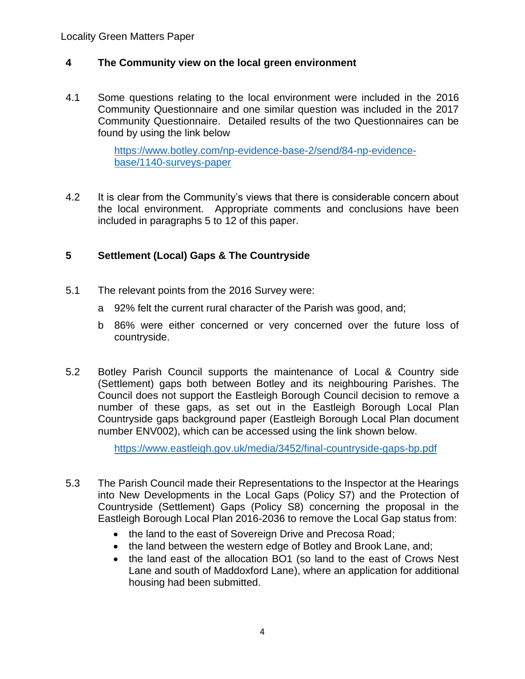### **4 The Community view on the local green environment**

4.1 Some questions relating to the local environment were included in the 2016 Community Questionnaire and one similar question was included in the 2017 Community Questionnaire. Detailed results of the two Questionnaires can be found by using the link below

> [https://www.botley.com/np-evidence-base-2/send/84-np-evidence](https://www.botley.com/np-evidence-base-2/send/84-np-evidence-base/1140-surveys-paper)[base/1140-surveys-paper](https://www.botley.com/np-evidence-base-2/send/84-np-evidence-base/1140-surveys-paper)

4.2 It is clear from the Community's views that there is considerable concern about the local environment. Appropriate comments and conclusions have been included in paragraphs 5 to 12 of this paper.

# **5 Settlement (Local) Gaps & The Countryside**

- 5.1 The relevant points from the 2016 Survey were:
	- a 92% felt the current rural character of the Parish was good, and;
	- b 86% were either concerned or very concerned over the future loss of countryside.
- 5.2 Botley Parish Council supports the maintenance of Local & Country side (Settlement) gaps both between Botley and its neighbouring Parishes. The Council does not support the Eastleigh Borough Council decision to remove a number of these gaps, as set out in the Eastleigh Borough Local Plan Countryside gaps background paper (Eastleigh Borough Local Plan document number ENV002), which can be accessed using the link shown below.

<https://www.eastleigh.gov.uk/media/3452/final-countryside-gaps-bp.pdf>

- 5.3 The Parish Council made their Representations to the Inspector at the Hearings into New Developments in the Local Gaps (Policy S7) and the Protection of Countryside (Settlement) Gaps (Policy S8) concerning the proposal in the Eastleigh Borough Local Plan 2016-2036 to remove the Local Gap status from:
	- the land to the east of Sovereign Drive and Precosa Road;
	- the land between the western edge of Botley and Brook Lane, and;
	- the land east of the allocation BO1 (so land to the east of Crows Nest Lane and south of Maddoxford Lane), where an application for additional housing had been submitted.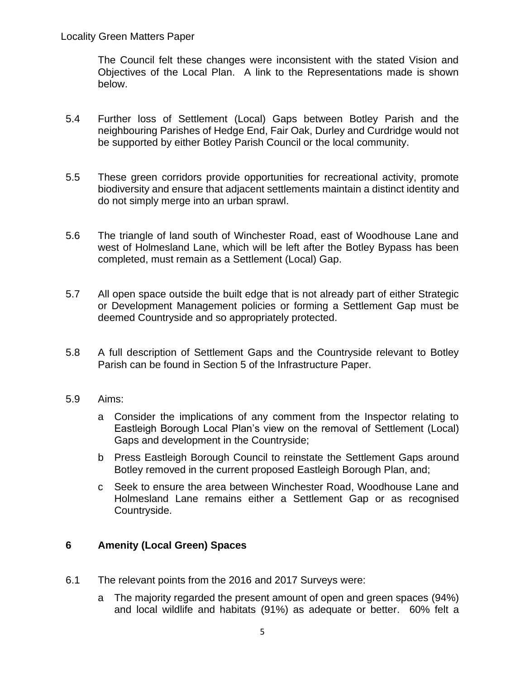The Council felt these changes were inconsistent with the stated Vision and Objectives of the Local Plan. A link to the Representations made is shown below.

- 5.4 Further loss of Settlement (Local) Gaps between Botley Parish and the neighbouring Parishes of Hedge End, Fair Oak, Durley and Curdridge would not be supported by either Botley Parish Council or the local community.
- 5.5 These green corridors provide opportunities for recreational activity, promote biodiversity and ensure that adjacent settlements maintain a distinct identity and do not simply merge into an urban sprawl.
- 5.6 The triangle of land south of Winchester Road, east of Woodhouse Lane and west of Holmesland Lane, which will be left after the Botley Bypass has been completed, must remain as a Settlement (Local) Gap.
- 5.7 All open space outside the built edge that is not already part of either Strategic or Development Management policies or forming a Settlement Gap must be deemed Countryside and so appropriately protected.
- 5.8 A full description of Settlement Gaps and the Countryside relevant to Botley Parish can be found in Section 5 of the Infrastructure Paper.
- 5.9 Aims:
	- a Consider the implications of any comment from the Inspector relating to Eastleigh Borough Local Plan's view on the removal of Settlement (Local) Gaps and development in the Countryside;
	- b Press Eastleigh Borough Council to reinstate the Settlement Gaps around Botley removed in the current proposed Eastleigh Borough Plan, and;
	- c Seek to ensure the area between Winchester Road, Woodhouse Lane and Holmesland Lane remains either a Settlement Gap or as recognised Countryside.

### **6 Amenity (Local Green) Spaces**

- 6.1 The relevant points from the 2016 and 2017 Surveys were:
	- a The majority regarded the present amount of open and green spaces (94%) and local wildlife and habitats (91%) as adequate or better. 60% felt a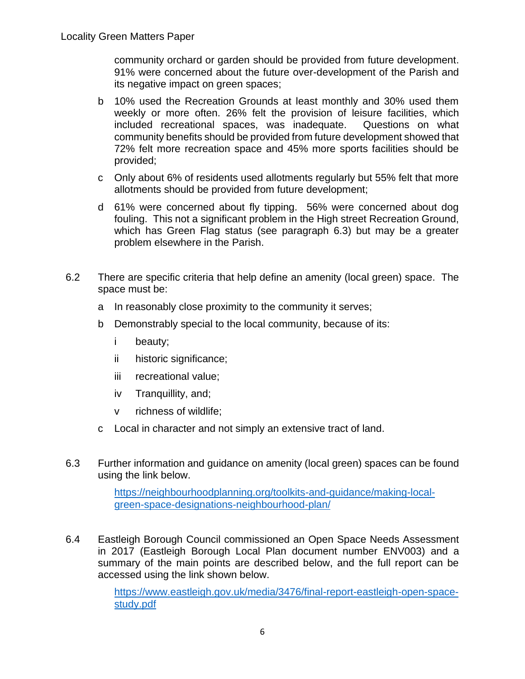community orchard or garden should be provided from future development. 91% were concerned about the future over-development of the Parish and its negative impact on green spaces;

- b 10% used the Recreation Grounds at least monthly and 30% used them weekly or more often. 26% felt the provision of leisure facilities, which included recreational spaces, was inadequate. Questions on what community benefits should be provided from future development showed that 72% felt more recreation space and 45% more sports facilities should be provided;
- c Only about 6% of residents used allotments regularly but 55% felt that more allotments should be provided from future development;
- d 61% were concerned about fly tipping. 56% were concerned about dog fouling. This not a significant problem in the High street Recreation Ground, which has Green Flag status (see paragraph 6.3) but may be a greater problem elsewhere in the Parish.
- 6.2 There are specific criteria that help define an amenity (local green) space. The space must be:
	- a In reasonably close proximity to the community it serves;
	- b Demonstrably special to the local community, because of its:
		- i beauty;
		- ii historic significance;
		- iii recreational value;
		- iv Tranquillity, and;
		- v richness of wildlife;
	- c Local in character and not simply an extensive tract of land.
- 6.3 Further information and guidance on amenity (local green) spaces can be found using the link below.

[https://neighbourhoodplanning.org/toolkits-and-guidance/making-local](https://neighbourhoodplanning.org/toolkits-and-guidance/making-local-green-space-designations-neighbourhood-plan/)[green-space-designations-neighbourhood-plan/](https://neighbourhoodplanning.org/toolkits-and-guidance/making-local-green-space-designations-neighbourhood-plan/)

6.4 Eastleigh Borough Council commissioned an Open Space Needs Assessment in 2017 (Eastleigh Borough Local Plan document number ENV003) and a summary of the main points are described below, and the full report can be accessed using the link shown below.

> [https://www.eastleigh.gov.uk/media/3476/final-report-eastleigh-open-space](https://www.eastleigh.gov.uk/media/3476/final-report-eastleigh-open-space-study.pdf)[study.pdf](https://www.eastleigh.gov.uk/media/3476/final-report-eastleigh-open-space-study.pdf)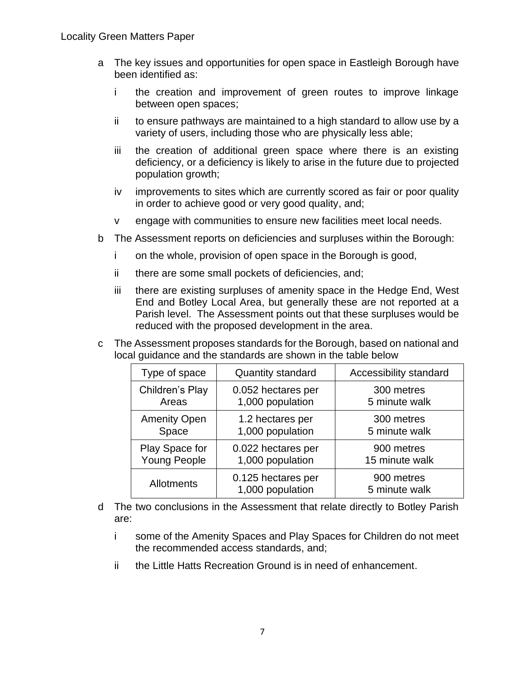- a The key issues and opportunities for open space in Eastleigh Borough have been identified as:
	- i the creation and improvement of green routes to improve linkage between open spaces;
	- ii to ensure pathways are maintained to a high standard to allow use by a variety of users, including those who are physically less able;
	- iii the creation of additional green space where there is an existing deficiency, or a deficiency is likely to arise in the future due to projected population growth;
	- iv improvements to sites which are currently scored as fair or poor quality in order to achieve good or very good quality, and;
	- v engage with communities to ensure new facilities meet local needs.
- b The Assessment reports on deficiencies and surpluses within the Borough:
	- i on the whole, provision of open space in the Borough is good,
	- ii there are some small pockets of deficiencies, and;
	- iii there are existing surpluses of amenity space in the Hedge End, West End and Botley Local Area, but generally these are not reported at a Parish level. The Assessment points out that these surpluses would be reduced with the proposed development in the area.
- c The Assessment proposes standards for the Borough, based on national and local guidance and the standards are shown in the table below

| Type of space       | <b>Quantity standard</b>               | Accessibility standard      |
|---------------------|----------------------------------------|-----------------------------|
| Children's Play     | 0.052 hectares per                     | 300 metres                  |
| Areas               | 1,000 population                       | 5 minute walk               |
| <b>Amenity Open</b> | 1.2 hectares per                       | 300 metres                  |
| Space               | 1,000 population                       | 5 minute walk               |
| Play Space for      | 0.022 hectares per                     | 900 metres                  |
| <b>Young People</b> | 1,000 population                       | 15 minute walk              |
| Allotments          | 0.125 hectares per<br>1,000 population | 900 metres<br>5 minute walk |

- d The two conclusions in the Assessment that relate directly to Botley Parish are:
	- i some of the Amenity Spaces and Play Spaces for Children do not meet the recommended access standards, and;
	- ii the Little Hatts Recreation Ground is in need of enhancement.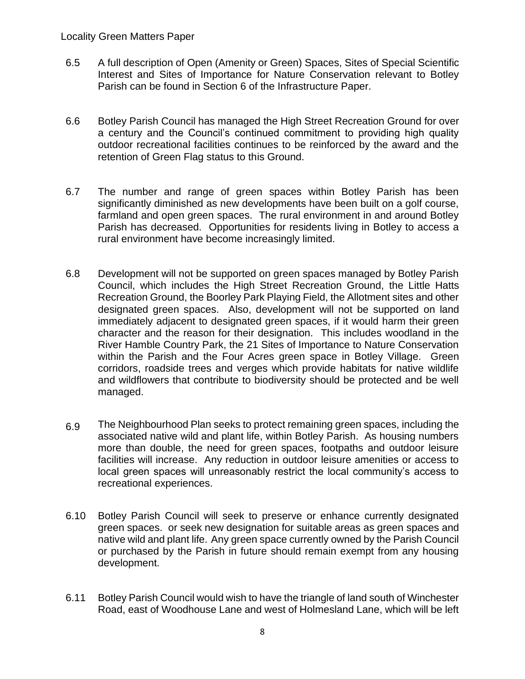- 6.5 A full description of Open (Amenity or Green) Spaces, Sites of Special Scientific Interest and Sites of Importance for Nature Conservation relevant to Botley Parish can be found in Section 6 of the Infrastructure Paper.
- 6.6 Botley Parish Council has managed the High Street Recreation Ground for over a century and the Council's continued commitment to providing high quality outdoor recreational facilities continues to be reinforced by the award and the retention of Green Flag status to this Ground.
- 6.7 The number and range of green spaces within Botley Parish has been significantly diminished as new developments have been built on a golf course, farmland and open green spaces. The rural environment in and around Botley Parish has decreased. Opportunities for residents living in Botley to access a rural environment have become increasingly limited.
- 6.8 Development will not be supported on green spaces managed by Botley Parish Council, which includes the High Street Recreation Ground, the Little Hatts Recreation Ground, the Boorley Park Playing Field, the Allotment sites and other designated green spaces. Also, development will not be supported on land immediately adjacent to designated green spaces, if it would harm their green character and the reason for their designation. This includes woodland in the River Hamble Country Park, the 21 Sites of Importance to Nature Conservation within the Parish and the Four Acres green space in Botley Village. Green corridors, roadside trees and verges which provide habitats for native wildlife and wildflowers that contribute to biodiversity should be protected and be well managed.
- 6.9 The Neighbourhood Plan seeks to protect remaining green spaces, including the associated native wild and plant life, within Botley Parish. As housing numbers more than double, the need for green spaces, footpaths and outdoor leisure facilities will increase. Any reduction in outdoor leisure amenities or access to local green spaces will unreasonably restrict the local community's access to recreational experiences.
- 6.10 Botley Parish Council will seek to preserve or enhance currently designated green spaces. or seek new designation for suitable areas as green spaces and native wild and plant life. Any green space currently owned by the Parish Council or purchased by the Parish in future should remain exempt from any housing development.
- 6.11 Botley Parish Council would wish to have the triangle of land south of Winchester Road, east of Woodhouse Lane and west of Holmesland Lane, which will be left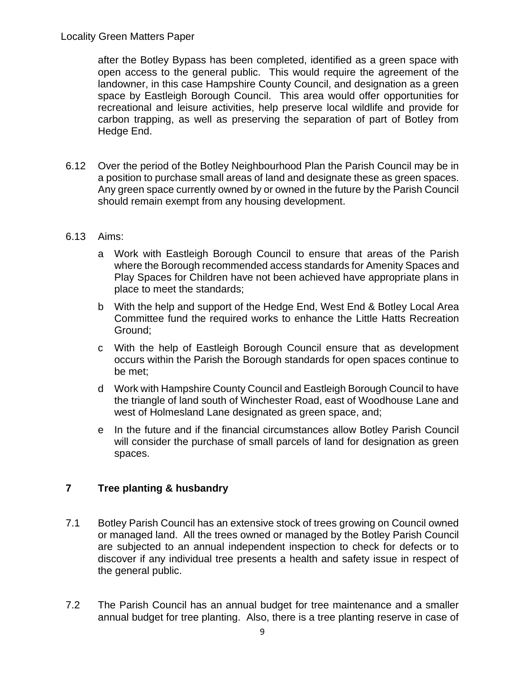after the Botley Bypass has been completed, identified as a green space with open access to the general public. This would require the agreement of the landowner, in this case Hampshire County Council, and designation as a green space by Eastleigh Borough Council. This area would offer opportunities for recreational and leisure activities, help preserve local wildlife and provide for carbon trapping, as well as preserving the separation of part of Botley from Hedge End.

6.12 Over the period of the Botley Neighbourhood Plan the Parish Council may be in a position to purchase small areas of land and designate these as green spaces. Any green space currently owned by or owned in the future by the Parish Council should remain exempt from any housing development.

### 6.13 Aims:

- a Work with Eastleigh Borough Council to ensure that areas of the Parish where the Borough recommended access standards for Amenity Spaces and Play Spaces for Children have not been achieved have appropriate plans in place to meet the standards;
- b With the help and support of the Hedge End, West End & Botley Local Area Committee fund the required works to enhance the Little Hatts Recreation Ground;
- c With the help of Eastleigh Borough Council ensure that as development occurs within the Parish the Borough standards for open spaces continue to be met;
- d Work with Hampshire County Council and Eastleigh Borough Council to have the triangle of land south of Winchester Road, east of Woodhouse Lane and west of Holmesland Lane designated as green space, and;
- e In the future and if the financial circumstances allow Botley Parish Council will consider the purchase of small parcels of land for designation as green spaces.

### **7 Tree planting & husbandry**

- 7.1 Botley Parish Council has an extensive stock of trees growing on Council owned or managed land. All the trees owned or managed by the Botley Parish Council are subjected to an annual independent inspection to check for defects or to discover if any individual tree presents a health and safety issue in respect of the general public.
- 7.2 The Parish Council has an annual budget for tree maintenance and a smaller annual budget for tree planting. Also, there is a tree planting reserve in case of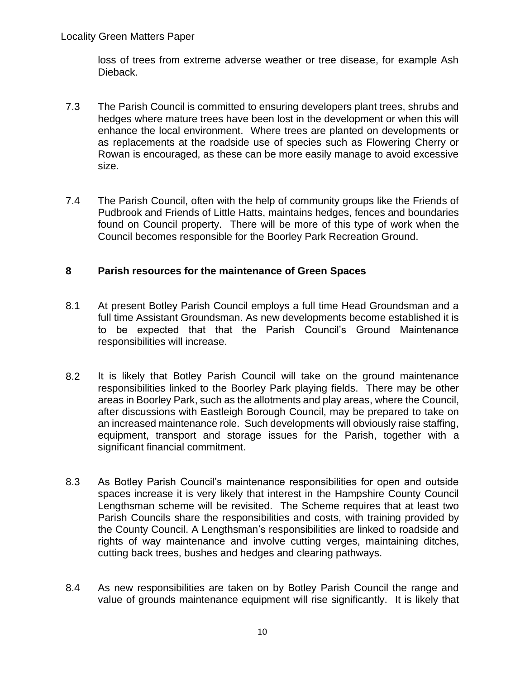loss of trees from extreme adverse weather or tree disease, for example Ash Dieback.

- 7.3 The Parish Council is committed to ensuring developers plant trees, shrubs and hedges where mature trees have been lost in the development or when this will enhance the local environment. Where trees are planted on developments or as replacements at the roadside use of species such as Flowering Cherry or Rowan is encouraged, as these can be more easily manage to avoid excessive size.
- 7.4 The Parish Council, often with the help of community groups like the Friends of Pudbrook and Friends of Little Hatts, maintains hedges, fences and boundaries found on Council property. There will be more of this type of work when the Council becomes responsible for the Boorley Park Recreation Ground.

#### **8 Parish resources for the maintenance of Green Spaces**

- 8.1 At present Botley Parish Council employs a full time Head Groundsman and a full time Assistant Groundsman. As new developments become established it is to be expected that that the Parish Council's Ground Maintenance responsibilities will increase.
- 8.2 It is likely that Botley Parish Council will take on the ground maintenance responsibilities linked to the Boorley Park playing fields. There may be other areas in Boorley Park, such as the allotments and play areas, where the Council, after discussions with Eastleigh Borough Council, may be prepared to take on an increased maintenance role. Such developments will obviously raise staffing, equipment, transport and storage issues for the Parish, together with a significant financial commitment.
- 8.3 As Botley Parish Council's maintenance responsibilities for open and outside spaces increase it is very likely that interest in the Hampshire County Council Lengthsman scheme will be revisited. The Scheme requires that at least two Parish Councils share the responsibilities and costs, with training provided by the County Council. A Lengthsman's responsibilities are linked to roadside and rights of way maintenance and involve cutting verges, maintaining ditches, cutting back trees, bushes and hedges and clearing pathways.
- 8.4 As new responsibilities are taken on by Botley Parish Council the range and value of grounds maintenance equipment will rise significantly. It is likely that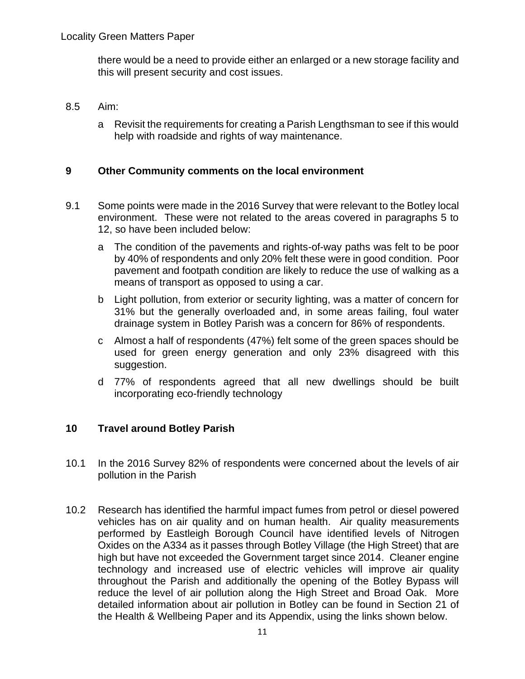there would be a need to provide either an enlarged or a new storage facility and this will present security and cost issues.

#### 8.5 Aim:

a Revisit the requirements for creating a Parish Lengthsman to see if this would help with roadside and rights of way maintenance.

### **9 Other Community comments on the local environment**

- 9.1 Some points were made in the 2016 Survey that were relevant to the Botley local environment. These were not related to the areas covered in paragraphs 5 to 12, so have been included below:
	- a The condition of the pavements and rights-of-way paths was felt to be poor by 40% of respondents and only 20% felt these were in good condition. Poor pavement and footpath condition are likely to reduce the use of walking as a means of transport as opposed to using a car.
	- b Light pollution, from exterior or security lighting, was a matter of concern for 31% but the generally overloaded and, in some areas failing, foul water drainage system in Botley Parish was a concern for 86% of respondents.
	- c Almost a half of respondents (47%) felt some of the green spaces should be used for green energy generation and only 23% disagreed with this suggestion.
	- d 77% of respondents agreed that all new dwellings should be built incorporating eco-friendly technology

### **10 Travel around Botley Parish**

- 10.1 In the 2016 Survey 82% of respondents were concerned about the levels of air pollution in the Parish
- 10.2 Research has identified the harmful impact fumes from petrol or diesel powered vehicles has on air quality and on human health. Air quality measurements performed by Eastleigh Borough Council have identified levels of Nitrogen Oxides on the A334 as it passes through Botley Village (the High Street) that are high but have not exceeded the Government target since 2014. Cleaner engine technology and increased use of electric vehicles will improve air quality throughout the Parish and additionally the opening of the Botley Bypass will reduce the level of air pollution along the High Street and Broad Oak. More detailed information about air pollution in Botley can be found in Section 21 of the Health & Wellbeing Paper and its Appendix, using the links shown below.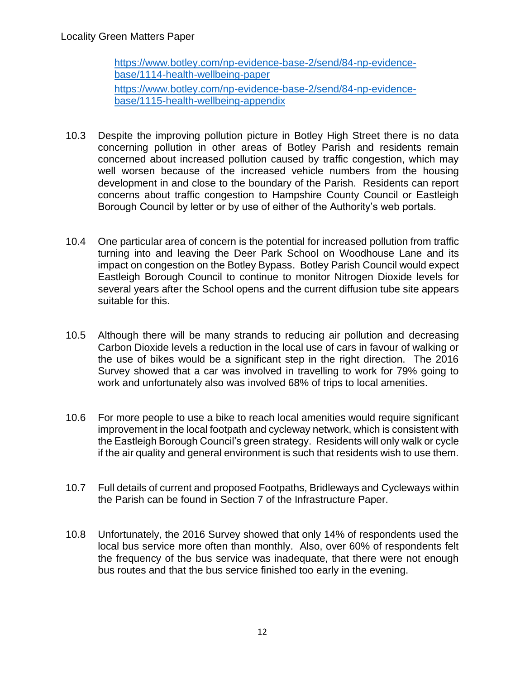[https://www.botley.com/np-evidence-base-2/send/84-np-evidence](https://www.botley.com/np-evidence-base-2/send/84-np-evidence-base/1114-health-wellbeing-paper)[base/1114-health-wellbeing-paper](https://www.botley.com/np-evidence-base-2/send/84-np-evidence-base/1114-health-wellbeing-paper) [https://www.botley.com/np-evidence-base-2/send/84-np-evidence](https://www.botley.com/np-evidence-base-2/send/84-np-evidence-base/1115-health-wellbeing-appendix)[base/1115-health-wellbeing-appendix](https://www.botley.com/np-evidence-base-2/send/84-np-evidence-base/1115-health-wellbeing-appendix)

- 10.3 Despite the improving pollution picture in Botley High Street there is no data concerning pollution in other areas of Botley Parish and residents remain concerned about increased pollution caused by traffic congestion, which may well worsen because of the increased vehicle numbers from the housing development in and close to the boundary of the Parish. Residents can report concerns about traffic congestion to Hampshire County Council or Eastleigh Borough Council by letter or by use of either of the Authority's web portals.
- 10.4 One particular area of concern is the potential for increased pollution from traffic turning into and leaving the Deer Park School on Woodhouse Lane and its impact on congestion on the Botley Bypass. Botley Parish Council would expect Eastleigh Borough Council to continue to monitor Nitrogen Dioxide levels for several years after the School opens and the current diffusion tube site appears suitable for this.
- 10.5 Although there will be many strands to reducing air pollution and decreasing Carbon Dioxide levels a reduction in the local use of cars in favour of walking or the use of bikes would be a significant step in the right direction. The 2016 Survey showed that a car was involved in travelling to work for 79% going to work and unfortunately also was involved 68% of trips to local amenities.
- 10.6 For more people to use a bike to reach local amenities would require significant improvement in the local footpath and cycleway network, which is consistent with the Eastleigh Borough Council's green strategy.Residents will only walk or cycle if the air quality and general environment is such that residents wish to use them.
- 10.7 Full details of current and proposed Footpaths, Bridleways and Cycleways within the Parish can be found in Section 7 of the Infrastructure Paper.
- 10.8 Unfortunately, the 2016 Survey showed that only 14% of respondents used the local bus service more often than monthly. Also, over 60% of respondents felt the frequency of the bus service was inadequate, that there were not enough bus routes and that the bus service finished too early in the evening.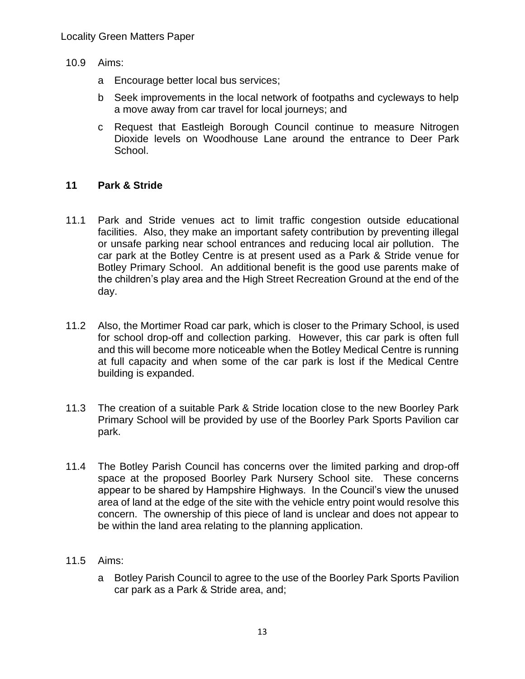- 10.9 Aims:
	- a Encourage better local bus services;
	- b Seek improvements in the local network of footpaths and cycleways to help a move away from car travel for local journeys; and
	- c Request that Eastleigh Borough Council continue to measure Nitrogen Dioxide levels on Woodhouse Lane around the entrance to Deer Park School.

### **11 Park & Stride**

- 11.1 Park and Stride venues act to limit traffic congestion outside educational facilities. Also, they make an important safety contribution by preventing illegal or unsafe parking near school entrances and reducing local air pollution. The car park at the Botley Centre is at present used as a Park & Stride venue for Botley Primary School. An additional benefit is the good use parents make of the children's play area and the High Street Recreation Ground at the end of the day.
- 11.2 Also, the Mortimer Road car park, which is closer to the Primary School, is used for school drop-off and collection parking. However, this car park is often full and this will become more noticeable when the Botley Medical Centre is running at full capacity and when some of the car park is lost if the Medical Centre building is expanded.
- 11.3 The creation of a suitable Park & Stride location close to the new Boorley Park Primary School will be provided by use of the Boorley Park Sports Pavilion car park.
- 11.4 The Botley Parish Council has concerns over the limited parking and drop-off space at the proposed Boorley Park Nursery School site. These concerns appear to be shared by Hampshire Highways. In the Council's view the unused area of land at the edge of the site with the vehicle entry point would resolve this concern. The ownership of this piece of land is unclear and does not appear to be within the land area relating to the planning application.
- 11.5 Aims:
	- a Botley Parish Council to agree to the use of the Boorley Park Sports Pavilion car park as a Park & Stride area, and;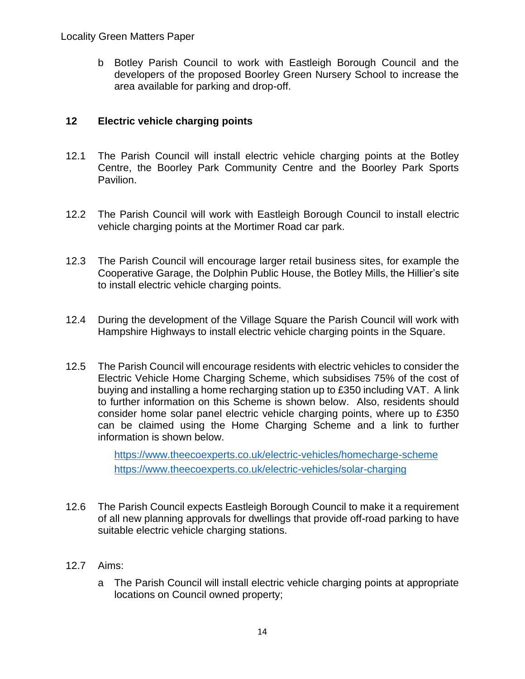b Botley Parish Council to work with Eastleigh Borough Council and the developers of the proposed Boorley Green Nursery School to increase the area available for parking and drop-off.

# **12 Electric vehicle charging points**

- 12.1 The Parish Council will install electric vehicle charging points at the Botley Centre, the Boorley Park Community Centre and the Boorley Park Sports Pavilion.
- 12.2 The Parish Council will work with Eastleigh Borough Council to install electric vehicle charging points at the Mortimer Road car park.
- 12.3 The Parish Council will encourage larger retail business sites, for example the Cooperative Garage, the Dolphin Public House, the Botley Mills, the Hillier's site to install electric vehicle charging points.
- 12.4 During the development of the Village Square the Parish Council will work with Hampshire Highways to install electric vehicle charging points in the Square.
- 12.5 The Parish Council will encourage residents with electric vehicles to consider the Electric Vehicle Home Charging Scheme, which subsidises 75% of the cost of buying and installing a home recharging station up to £350 including VAT. A link to further information on this Scheme is shown below. Also, residents should consider home solar panel electric vehicle charging points, where up to £350 can be claimed using the Home Charging Scheme and a link to further information is shown below.

<https://www.theecoexperts.co.uk/electric-vehicles/homecharge-scheme> <https://www.theecoexperts.co.uk/electric-vehicles/solar-charging>

- 12.6 The Parish Council expects Eastleigh Borough Council to make it a requirement of all new planning approvals for dwellings that provide off-road parking to have suitable electric vehicle charging stations.
- 12.7 Aims:
	- a The Parish Council will install electric vehicle charging points at appropriate locations on Council owned property;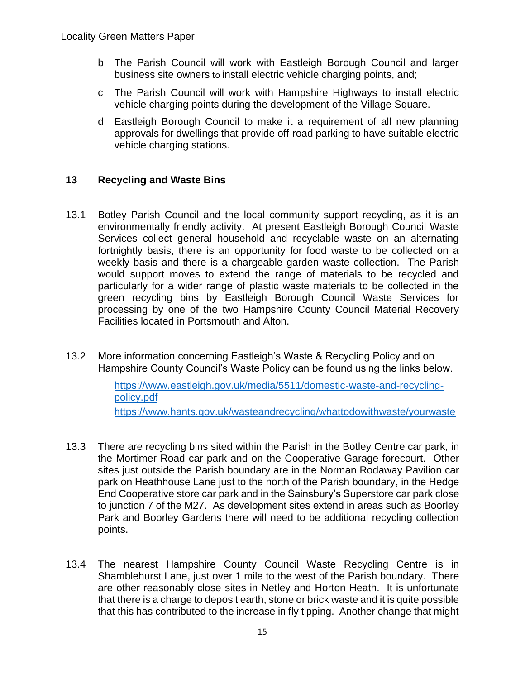- b The Parish Council will work with Eastleigh Borough Council and larger business site owners to install electric vehicle charging points, and;
- c The Parish Council will work with Hampshire Highways to install electric vehicle charging points during the development of the Village Square.
- d Eastleigh Borough Council to make it a requirement of all new planning approvals for dwellings that provide off-road parking to have suitable electric vehicle charging stations.

# **13 Recycling and Waste Bins**

- 13.1 Botley Parish Council and the local community support recycling, as it is an environmentally friendly activity. At present Eastleigh Borough Council Waste Services collect general household and recyclable waste on an alternating fortnightly basis, there is an opportunity for food waste to be collected on a weekly basis and there is a chargeable garden waste collection. The Parish would support moves to extend the range of materials to be recycled and particularly for a wider range of plastic waste materials to be collected in the green recycling bins by Eastleigh Borough Council Waste Services for processing by one of the two Hampshire County Council Material Recovery Facilities located in Portsmouth and Alton.
- 13.2 More information concerning Eastleigh's Waste & Recycling Policy and on Hampshire County Council's Waste Policy can be found using the links below.

[https://www.eastleigh.gov.uk/media/5511/domestic-waste-and-recycling](https://www.eastleigh.gov.uk/media/5511/domestic-waste-and-recycling-policy.pdf)[policy.pdf](https://www.eastleigh.gov.uk/media/5511/domestic-waste-and-recycling-policy.pdf) <https://www.hants.gov.uk/wasteandrecycling/whattodowithwaste/yourwaste>

- 13.3 There are recycling bins sited within the Parish in the Botley Centre car park, in the Mortimer Road car park and on the Cooperative Garage forecourt. Other sites just outside the Parish boundary are in the Norman Rodaway Pavilion car park on Heathhouse Lane just to the north of the Parish boundary, in the Hedge End Cooperative store car park and in the Sainsbury's Superstore car park close to junction 7 of the M27. As development sites extend in areas such as Boorley Park and Boorley Gardens there will need to be additional recycling collection points.
- 13.4 The nearest Hampshire County Council Waste Recycling Centre is in Shamblehurst Lane, just over 1 mile to the west of the Parish boundary. There are other reasonably close sites in Netley and Horton Heath. It is unfortunate that there is a charge to deposit earth, stone or brick waste and it is quite possible that this has contributed to the increase in fly tipping. Another change that might